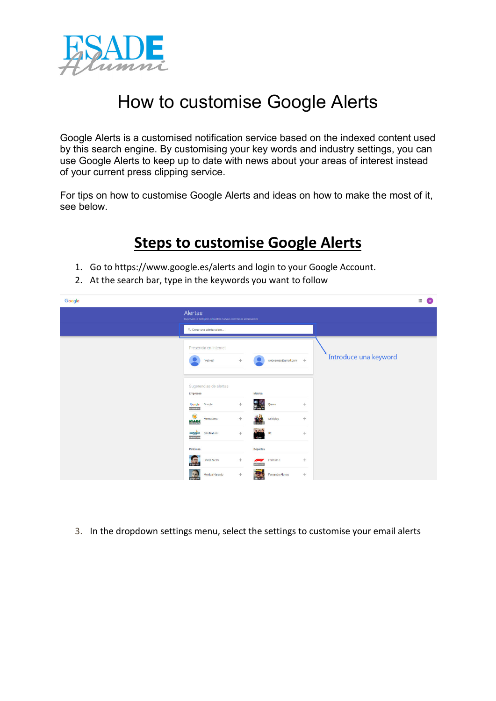

## How to customise Google Alerts

Google Alerts is a customised notification service based on the indexed content used by this search engine. By customising your key words and industry settings, you can use Google Alerts to keep up to date with news about your areas of interest instead of your current press clipping service.

For tips on how to customise Google Alerts and ideas on how to make the most of it, see below.

## **Steps to customise Google Alerts**

- 1. Go t[o https://www.google.es/alerts](https://www.google.es/alerts) and login to your Google Account.
- 2. At the search bar, type in the keywords you want to follow

| Google |                                                                                                                | 排<br>$\overline{w}$ |  |  |
|--------|----------------------------------------------------------------------------------------------------------------|---------------------|--|--|
|        | Alertas<br>Supervisa la Web para encontrar nuevos contenidos interesantes                                      |                     |  |  |
|        | Q. Crear una alerta sobre                                                                                      |                     |  |  |
|        | Presencia en Internet<br>Introduce una keyword<br>$+$<br>webeamas@gmail.com +<br>'web ea'                      |                     |  |  |
|        | Sugerencias de alertas<br>Música<br>Empresas                                                                   |                     |  |  |
|        | $^{+}$<br>$+$<br>Google<br>Google<br>Queen<br>techspactive.t                                                   |                     |  |  |
|        | $\bullet$<br>Coldplay<br>$\!+\!$<br>$+$<br>Mercadona<br>YМ<br><b>ICADS</b>                                     |                     |  |  |
|        | 3433<br>gasNatural<br>Grandiano<br>$+$<br>Gas Natural<br>U2<br>$+$<br>ug.com                                   |                     |  |  |
|        | Películas<br><b>Deportes</b>                                                                                   |                     |  |  |
|        | $+$<br>$+$<br>u an<br><b>Lionel Messi</b><br>Formula 1<br>F.<br>gatatic com                                    |                     |  |  |
|        | <b>The Second</b><br>$\begin{array}{c} + \end{array}$<br>$+$<br>Fernando Alonso<br>Monica Naranjo<br>pagia cor |                     |  |  |

3. In the dropdown settings menu, select the settings to customise your email alerts